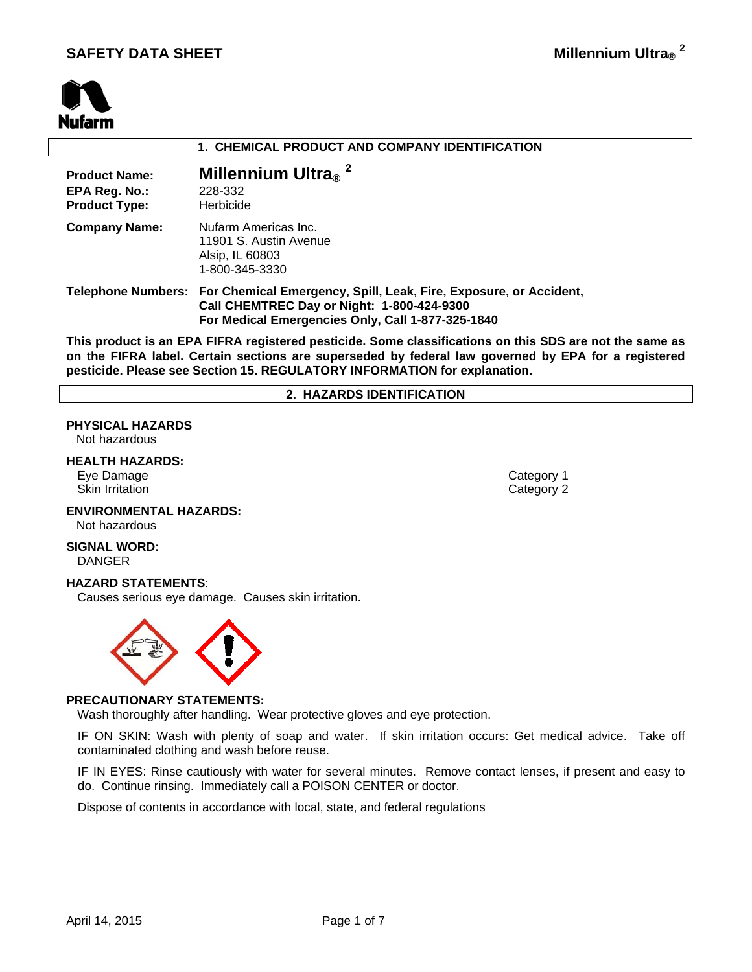# **SAFETY DATA SHEET**



#### **1. CHEMICAL PRODUCT AND COMPANY IDENTIFICATION**

| <b>Product Name:</b><br>EPA Reg. No.:<br><b>Product Type:</b> | Millennium Ultra $_{\scriptscriptstyle\rm \boxtimes}$ <sup>2</sup><br>228-332<br>Herbicide                                                                                              |
|---------------------------------------------------------------|-----------------------------------------------------------------------------------------------------------------------------------------------------------------------------------------|
| <b>Company Name:</b>                                          | Nufarm Americas Inc.<br>11901 S. Austin Avenue<br>Alsip, IL 60803<br>1-800-345-3330                                                                                                     |
|                                                               | Telephone Numbers: For Chemical Emergency, Spill, Leak, Fire, Exposure, or Accident,<br>Call CHEMTREC Day or Night: 1-800-424-9300<br>For Medical Emergencies Only, Call 1-877-325-1840 |

**This product is an EPA FIFRA registered pesticide. Some classifications on this SDS are not the same as on the FIFRA label. Certain sections are superseded by federal law governed by EPA for a registered pesticide. Please see Section 15. REGULATORY INFORMATION for explanation.**

#### **2. HAZARDS IDENTIFICATION**

# **PHYSICAL HAZARDS**

Not hazardous

#### **HEALTH HAZARDS:**

Eye Damage Category 1 Skin Irritation **Category 2** and Category 2

# **ENVIRONMENTAL HAZARDS:**

Not hazardous

#### **SIGNAL WORD:** DANGER

#### **HAZARD STATEMENTS**:

Causes serious eye damage. Causes skin irritation.



#### **PRECAUTIONARY STATEMENTS:**

Wash thoroughly after handling. Wear protective gloves and eye protection.

IF ON SKIN: Wash with plenty of soap and water. If skin irritation occurs: Get medical advice. Take off contaminated clothing and wash before reuse.

IF IN EYES: Rinse cautiously with water for several minutes. Remove contact lenses, if present and easy to do. Continue rinsing. Immediately call a POISON CENTER or doctor.

Dispose of contents in accordance with local, state, and federal regulations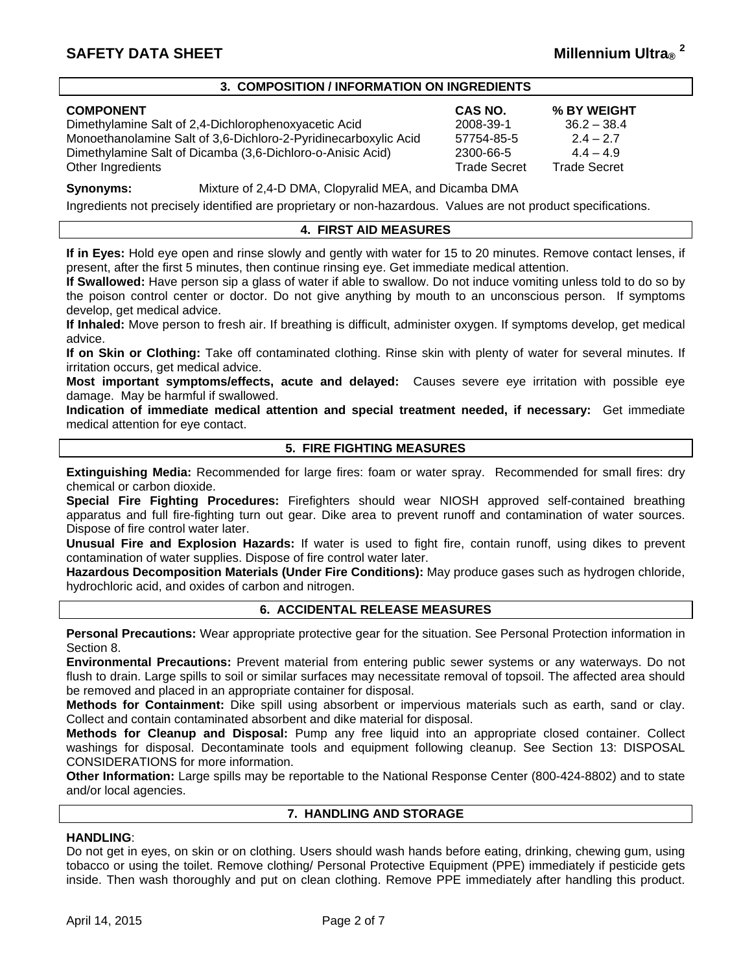# **SAFETY DATA SHEET**

#### **3. COMPOSITION / INFORMATION ON INGREDIENTS**

| <b>COMPONENT</b>                                                | <b>CAS NO.</b>      | % BY WEIGHT         |
|-----------------------------------------------------------------|---------------------|---------------------|
| Dimethylamine Salt of 2,4-Dichlorophenoxyacetic Acid            | 2008-39-1           | $36.2 - 38.4$       |
| Monoethanolamine Salt of 3,6-Dichloro-2-Pyridinecarboxylic Acid | 57754-85-5          | $2.4 - 2.7$         |
| Dimethylamine Salt of Dicamba (3,6-Dichloro-o-Anisic Acid)      | 2300-66-5           | $44 - 49$           |
| Other Ingredients                                               | <b>Trade Secret</b> | <b>Trade Secret</b> |

**Synonyms:** Mixture of 2,4-D DMA, Clopyralid MEA, and Dicamba DMA

Ingredients not precisely identified are proprietary or non-hazardous. Values are not product specifications.

# **4. FIRST AID MEASURES**

**If in Eyes:** Hold eye open and rinse slowly and gently with water for 15 to 20 minutes. Remove contact lenses, if present, after the first 5 minutes, then continue rinsing eye. Get immediate medical attention.

**If Swallowed:** Have person sip a glass of water if able to swallow. Do not induce vomiting unless told to do so by the poison control center or doctor. Do not give anything by mouth to an unconscious person. If symptoms develop, get medical advice.

**If Inhaled:** Move person to fresh air. If breathing is difficult, administer oxygen. If symptoms develop, get medical advice.

**If on Skin or Clothing:** Take off contaminated clothing. Rinse skin with plenty of water for several minutes. If irritation occurs, get medical advice.

**Most important symptoms/effects, acute and delayed:** Causes severe eye irritation with possible eye damage. May be harmful if swallowed.

**Indication of immediate medical attention and special treatment needed, if necessary:** Get immediate medical attention for eye contact.

# **5. FIRE FIGHTING MEASURES**

**Extinguishing Media:** Recommended for large fires: foam or water spray. Recommended for small fires: dry chemical or carbon dioxide.

**Special Fire Fighting Procedures:** Firefighters should wear NIOSH approved self-contained breathing apparatus and full fire-fighting turn out gear. Dike area to prevent runoff and contamination of water sources. Dispose of fire control water later.

**Unusual Fire and Explosion Hazards:** If water is used to fight fire, contain runoff, using dikes to prevent contamination of water supplies. Dispose of fire control water later.

**Hazardous Decomposition Materials (Under Fire Conditions):** May produce gases such as hydrogen chloride, hydrochloric acid, and oxides of carbon and nitrogen.

# **6. ACCIDENTAL RELEASE MEASURES**

**Personal Precautions:** Wear appropriate protective gear for the situation. See Personal Protection information in Section 8.

**Environmental Precautions:** Prevent material from entering public sewer systems or any waterways. Do not flush to drain. Large spills to soil or similar surfaces may necessitate removal of topsoil. The affected area should be removed and placed in an appropriate container for disposal.

**Methods for Containment:** Dike spill using absorbent or impervious materials such as earth, sand or clay. Collect and contain contaminated absorbent and dike material for disposal.

**Methods for Cleanup and Disposal:** Pump any free liquid into an appropriate closed container. Collect washings for disposal. Decontaminate tools and equipment following cleanup. See Section 13: DISPOSAL CONSIDERATIONS for more information.

**Other Information:** Large spills may be reportable to the National Response Center (800-424-8802) and to state and/or local agencies.

#### **7. HANDLING AND STORAGE**

# **HANDLING**:

Do not get in eyes, on skin or on clothing. Users should wash hands before eating, drinking, chewing gum, using tobacco or using the toilet. Remove clothing/ Personal Protective Equipment (PPE) immediately if pesticide gets inside. Then wash thoroughly and put on clean clothing. Remove PPE immediately after handling this product.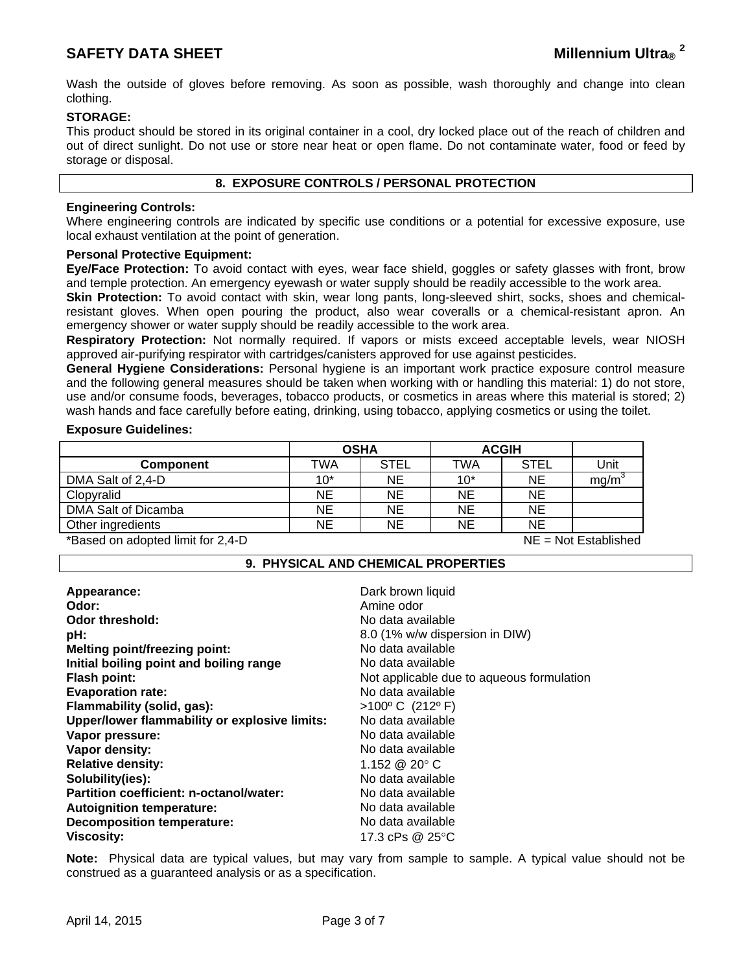Wash the outside of gloves before removing. As soon as possible, wash thoroughly and change into clean clothing.

# **STORAGE:**

This product should be stored in its original container in a cool, dry locked place out of the reach of children and out of direct sunlight. Do not use or store near heat or open flame. Do not contaminate water, food or feed by storage or disposal.

# **8. EXPOSURE CONTROLS / PERSONAL PROTECTION**

#### **Engineering Controls:**

Where engineering controls are indicated by specific use conditions or a potential for excessive exposure, use local exhaust ventilation at the point of generation.

#### **Personal Protective Equipment:**

**Eye/Face Protection:** To avoid contact with eyes, wear face shield, goggles or safety glasses with front, brow and temple protection. An emergency eyewash or water supply should be readily accessible to the work area.

**Skin Protection:** To avoid contact with skin, wear long pants, long-sleeved shirt, socks, shoes and chemicalresistant gloves. When open pouring the product, also wear coveralls or a chemical-resistant apron. An emergency shower or water supply should be readily accessible to the work area.

**Respiratory Protection:** Not normally required. If vapors or mists exceed acceptable levels, wear NIOSH approved air-purifying respirator with cartridges/canisters approved for use against pesticides.

**General Hygiene Considerations:** Personal hygiene is an important work practice exposure control measure and the following general measures should be taken when working with or handling this material: 1) do not store, use and/or consume foods, beverages, tobacco products, or cosmetics in areas where this material is stored; 2) wash hands and face carefully before eating, drinking, using tobacco, applying cosmetics or using the toilet.

#### **Exposure Guidelines:**

|                     | <b>OSHA</b> |             | <b>ACGIH</b> |             |                   |
|---------------------|-------------|-------------|--------------|-------------|-------------------|
| <b>Component</b>    | TWA         | <b>STEL</b> | TWA          | <b>STEL</b> | Unit              |
| DMA Salt of 2,4-D   | $10*$       | <b>NE</b>   | $10*$        | <b>NE</b>   | mg/m <sup>3</sup> |
| Clopyralid          | NE          | <b>NE</b>   | NE           | <b>NE</b>   |                   |
| DMA Salt of Dicamba | NE          | NE          | <b>NE</b>    | <b>NE</b>   |                   |
| Other ingredients   | NE.         | ΝE          | <b>NE</b>    | <b>NE</b>   |                   |

\*Based on adopted limit for 2,4-D NE = Not Established

# **9. PHYSICAL AND CHEMICAL PROPERTIES**

| Appearance:                                   | Dark brown liquid                         |
|-----------------------------------------------|-------------------------------------------|
| Odor:                                         | Amine odor                                |
| Odor threshold:                               | No data available                         |
| pH:                                           | 8.0 (1% w/w dispersion in DIW)            |
| <b>Melting point/freezing point:</b>          | No data available                         |
| Initial boiling point and boiling range       | No data available                         |
| <b>Flash point:</b>                           | Not applicable due to aqueous formulation |
| <b>Evaporation rate:</b>                      | No data available                         |
| Flammability (solid, gas):                    | $>100^{\circ}$ C (212°F)                  |
| Upper/lower flammability or explosive limits: | No data available                         |
| Vapor pressure:                               | No data available                         |
| Vapor density:                                | No data available                         |
| <b>Relative density:</b>                      | 1.152 @ 20 $^{\circ}$ C                   |
| Solubility(ies):                              | No data available                         |
| Partition coefficient: n-octanol/water:       | No data available                         |
| <b>Autoignition temperature:</b>              | No data available                         |
| <b>Decomposition temperature:</b>             | No data available                         |
| <b>Viscosity:</b>                             | 17.3 cPs $@25°C$                          |

**Note:** Physical data are typical values, but may vary from sample to sample. A typical value should not be construed as a guaranteed analysis or as a specification.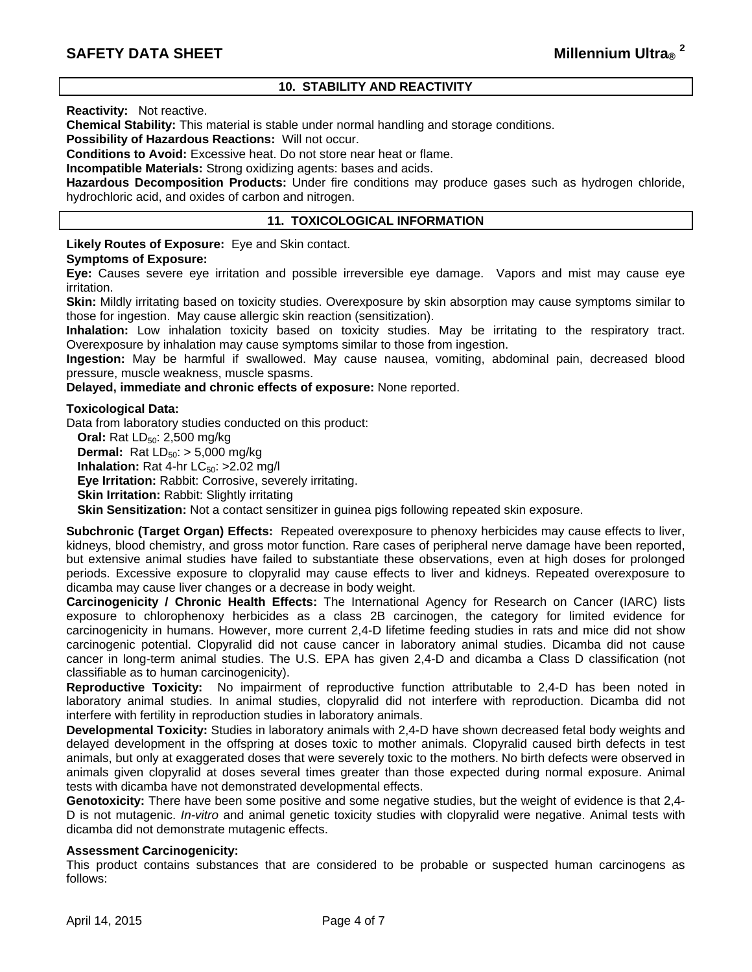# **10. STABILITY AND REACTIVITY**

**Reactivity:** Not reactive.

**Chemical Stability:** This material is stable under normal handling and storage conditions.

**Possibility of Hazardous Reactions:** Will not occur.

**Conditions to Avoid:** Excessive heat. Do not store near heat or flame.

**Incompatible Materials:** Strong oxidizing agents: bases and acids.

**Hazardous Decomposition Products:** Under fire conditions may produce gases such as hydrogen chloride, hydrochloric acid, and oxides of carbon and nitrogen.

# **11. TOXICOLOGICAL INFORMATION**

**Likely Routes of Exposure:** Eye and Skin contact.

#### **Symptoms of Exposure:**

**Eye:** Causes severe eye irritation and possible irreversible eye damage. Vapors and mist may cause eye irritation.

**Skin:** Mildly irritating based on toxicity studies. Overexposure by skin absorption may cause symptoms similar to those for ingestion. May cause allergic skin reaction (sensitization).

**Inhalation:** Low inhalation toxicity based on toxicity studies. May be irritating to the respiratory tract. Overexposure by inhalation may cause symptoms similar to those from ingestion.

**Ingestion:** May be harmful if swallowed. May cause nausea, vomiting, abdominal pain, decreased blood pressure, muscle weakness, muscle spasms.

**Delayed, immediate and chronic effects of exposure:** None reported.

#### **Toxicological Data:**

Data from laboratory studies conducted on this product:

**Oral:** Rat LD<sub>50</sub>: 2,500 mg/kg

**Dermal:** Rat  $LD_{50}$ :  $> 5,000$  mg/kg

**Inhalation:** Rat 4-hr  $LC_{50}$ :  $>2.02$  mg/l

**Eye Irritation:** Rabbit: Corrosive, severely irritating.

**Skin Irritation: Rabbit: Slightly irritating** 

**Skin Sensitization:** Not a contact sensitizer in guinea pigs following repeated skin exposure.

**Subchronic (Target Organ) Effects:** Repeated overexposure to phenoxy herbicides may cause effects to liver, kidneys, blood chemistry, and gross motor function. Rare cases of peripheral nerve damage have been reported, but extensive animal studies have failed to substantiate these observations, even at high doses for prolonged periods. Excessive exposure to clopyralid may cause effects to liver and kidneys. Repeated overexposure to dicamba may cause liver changes or a decrease in body weight.

**Carcinogenicity / Chronic Health Effects:** The International Agency for Research on Cancer (IARC) lists exposure to chlorophenoxy herbicides as a class 2B carcinogen, the category for limited evidence for carcinogenicity in humans. However, more current 2,4-D lifetime feeding studies in rats and mice did not show carcinogenic potential. Clopyralid did not cause cancer in laboratory animal studies. Dicamba did not cause cancer in long-term animal studies. The U.S. EPA has given 2,4-D and dicamba a Class D classification (not classifiable as to human carcinogenicity).

**Reproductive Toxicity:** No impairment of reproductive function attributable to 2,4-D has been noted in laboratory animal studies. In animal studies, clopyralid did not interfere with reproduction. Dicamba did not interfere with fertility in reproduction studies in laboratory animals.

**Developmental Toxicity:** Studies in laboratory animals with 2,4-D have shown decreased fetal body weights and delayed development in the offspring at doses toxic to mother animals. Clopyralid caused birth defects in test animals, but only at exaggerated doses that were severely toxic to the mothers. No birth defects were observed in animals given clopyralid at doses several times greater than those expected during normal exposure. Animal tests with dicamba have not demonstrated developmental effects.

**Genotoxicity:** There have been some positive and some negative studies, but the weight of evidence is that 2,4- D is not mutagenic. *In-vitro* and animal genetic toxicity studies with clopyralid were negative. Animal tests with dicamba did not demonstrate mutagenic effects.

### **Assessment Carcinogenicity:**

This product contains substances that are considered to be probable or suspected human carcinogens as follows: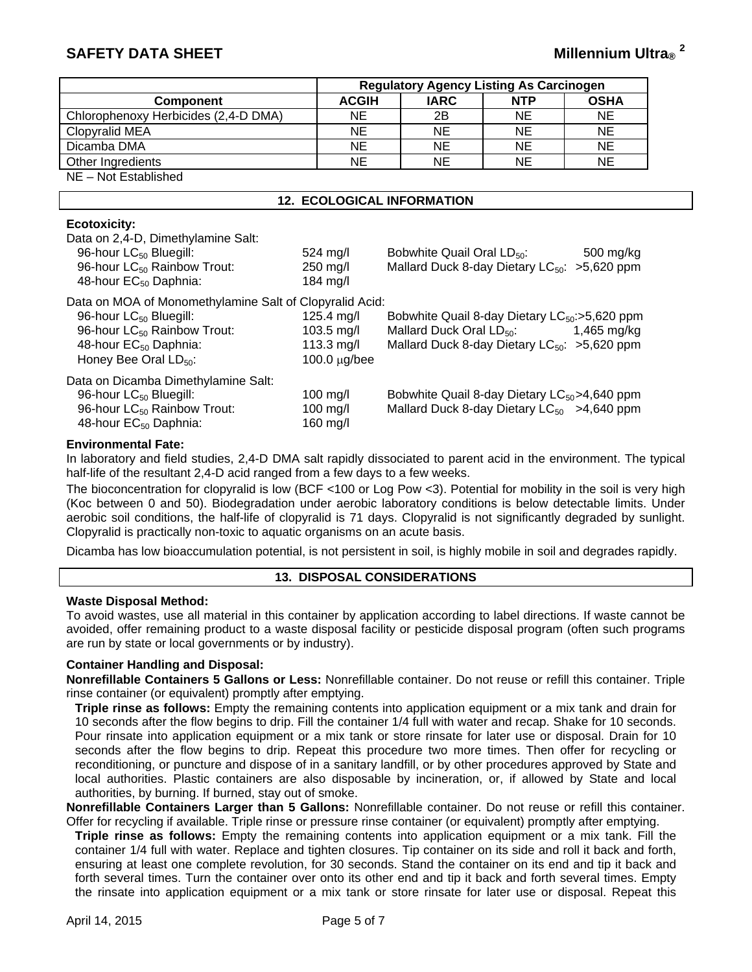# **SAFETY DATA SHEET**

|                                      | <b>Regulatory Agency Listing As Carcinogen</b> |             |            |             |
|--------------------------------------|------------------------------------------------|-------------|------------|-------------|
| <b>Component</b>                     | <b>ACGIH</b>                                   | <b>IARC</b> | <b>NTP</b> | <b>OSHA</b> |
| Chlorophenoxy Herbicides (2,4-D DMA) | NE.                                            | 2B          | NE.        | <b>NE</b>   |
| Clopyralid MEA                       | NE.                                            | <b>NE</b>   | <b>NE</b>  | <b>NE</b>   |
| Dicamba DMA                          | NE.                                            | <b>NE</b>   | <b>NE</b>  | <b>NE</b>   |
| Other Ingredients                    | NE.                                            | <b>NE</b>   | <b>NE</b>  | <b>NE</b>   |
| NE - Not Established                 |                                                |             |            |             |

# **12. ECOLOGICAL INFORMATION**

# **Ecotoxicity:**

| Data on 2,4-D, Dimethylamine Salt:<br>96-hour LC <sub>50</sub> Bluegill:<br>96-hour LC <sub>50</sub> Rainbow Trout:<br>48-hour EC <sub>50</sub> Daphnia:                                                    | $524 \text{ mol}$<br>$250$ mg/l<br>184 $mg/l$                | Bobwhite Quail Oral LD <sub>50</sub> :<br>500 mg/kg<br>Mallard Duck 8-day Dietary $LC_{50}$ : >5,620 ppm                                                        |
|-------------------------------------------------------------------------------------------------------------------------------------------------------------------------------------------------------------|--------------------------------------------------------------|-----------------------------------------------------------------------------------------------------------------------------------------------------------------|
| Data on MOA of Monomethylamine Salt of Clopyralid Acid:<br>96-hour LC <sub>50</sub> Bluegill:<br>96-hour LC <sub>50</sub> Rainbow Trout:<br>48-hour EC <sub>50</sub> Daphnia:<br>Honey Bee Oral $LD_{50}$ : | 125.4 mg/l<br>103.5 mg/l<br>113.3 mg/l<br>$100.0 \mu g$ /bee | Bobwhite Quail 8-day Dietary $LC_{50}$ : >5,620 ppm<br>Mallard Duck Oral LD <sub>50</sub> :<br>1,465 mg/kg<br>Mallard Duck 8-day Dietary $LC_{50}$ : >5,620 ppm |
| Data on Dicamba Dimethylamine Salt:<br>96-hour LC <sub>50</sub> Bluegill:<br>96-hour LC <sub>50</sub> Rainbow Trout:<br>48-hour $EC_{50}$ Daphnia:                                                          | $100$ mg/l<br>$100$ mg/l<br>160 mg/l                         | Bobwhite Quail 8-day Dietary $LC_{50}$ > 4,640 ppm<br>Mallard Duck 8-day Dietary $LC_{50}$ >4,640 ppm                                                           |

#### **Environmental Fate:**

In laboratory and field studies, 2,4-D DMA salt rapidly dissociated to parent acid in the environment. The typical half-life of the resultant 2,4-D acid ranged from a few days to a few weeks.

The bioconcentration for clopyralid is low (BCF <100 or Log Pow <3). Potential for mobility in the soil is very high (Koc between 0 and 50). Biodegradation under aerobic laboratory conditions is below detectable limits. Under aerobic soil conditions, the half-life of clopyralid is 71 days. Clopyralid is not significantly degraded by sunlight. Clopyralid is practically non-toxic to aquatic organisms on an acute basis.

Dicamba has low bioaccumulation potential, is not persistent in soil, is highly mobile in soil and degrades rapidly.

#### **13. DISPOSAL CONSIDERATIONS**

#### **Waste Disposal Method:**

To avoid wastes, use all material in this container by application according to label directions. If waste cannot be avoided, offer remaining product to a waste disposal facility or pesticide disposal program (often such programs are run by state or local governments or by industry).

### **Container Handling and Disposal:**

**Nonrefillable Containers 5 Gallons or Less:** Nonrefillable container. Do not reuse or refill this container. Triple rinse container (or equivalent) promptly after emptying.

**Triple rinse as follows:** Empty the remaining contents into application equipment or a mix tank and drain for 10 seconds after the flow begins to drip. Fill the container 1/4 full with water and recap. Shake for 10 seconds. Pour rinsate into application equipment or a mix tank or store rinsate for later use or disposal. Drain for 10 seconds after the flow begins to drip. Repeat this procedure two more times. Then offer for recycling or reconditioning, or puncture and dispose of in a sanitary landfill, or by other procedures approved by State and local authorities. Plastic containers are also disposable by incineration, or, if allowed by State and local authorities, by burning. If burned, stay out of smoke.

**Nonrefillable Containers Larger than 5 Gallons:** Nonrefillable container. Do not reuse or refill this container. Offer for recycling if available. Triple rinse or pressure rinse container (or equivalent) promptly after emptying.

**Triple rinse as follows:** Empty the remaining contents into application equipment or a mix tank. Fill the container 1/4 full with water. Replace and tighten closures. Tip container on its side and roll it back and forth, ensuring at least one complete revolution, for 30 seconds. Stand the container on its end and tip it back and forth several times. Turn the container over onto its other end and tip it back and forth several times. Empty the rinsate into application equipment or a mix tank or store rinsate for later use or disposal. Repeat this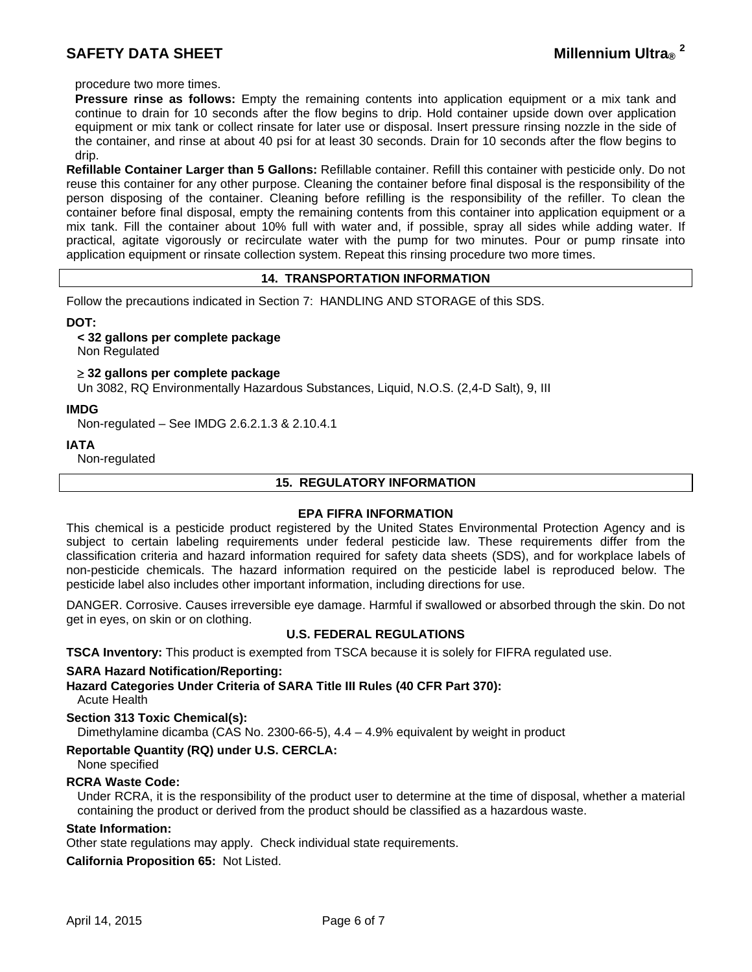procedure two more times.

**Pressure rinse as follows:** Empty the remaining contents into application equipment or a mix tank and continue to drain for 10 seconds after the flow begins to drip. Hold container upside down over application equipment or mix tank or collect rinsate for later use or disposal. Insert pressure rinsing nozzle in the side of the container, and rinse at about 40 psi for at least 30 seconds. Drain for 10 seconds after the flow begins to drip.

**Refillable Container Larger than 5 Gallons:** Refillable container. Refill this container with pesticide only. Do not reuse this container for any other purpose. Cleaning the container before final disposal is the responsibility of the person disposing of the container. Cleaning before refilling is the responsibility of the refiller. To clean the container before final disposal, empty the remaining contents from this container into application equipment or a mix tank. Fill the container about 10% full with water and, if possible, spray all sides while adding water. If practical, agitate vigorously or recirculate water with the pump for two minutes. Pour or pump rinsate into application equipment or rinsate collection system. Repeat this rinsing procedure two more times.

# **14. TRANSPORTATION INFORMATION**

Follow the precautions indicated in Section 7: HANDLING AND STORAGE of this SDS.

**DOT:** 

#### **< 32 gallons per complete package**

Non Regulated

 **32 gallons per complete package** 

Un 3082, RQ Environmentally Hazardous Substances, Liquid, N.O.S. (2,4-D Salt), 9, III

#### **IMDG**

Non-regulated – See IMDG 2.6.2.1.3 & 2.10.4.1

**IATA** 

Non-regulated

# **15. REGULATORY INFORMATION**

### **EPA FIFRA INFORMATION**

This chemical is a pesticide product registered by the United States Environmental Protection Agency and is subject to certain labeling requirements under federal pesticide law. These requirements differ from the classification criteria and hazard information required for safety data sheets (SDS), and for workplace labels of non-pesticide chemicals. The hazard information required on the pesticide label is reproduced below. The pesticide label also includes other important information, including directions for use.

DANGER. Corrosive. Causes irreversible eye damage. Harmful if swallowed or absorbed through the skin. Do not get in eyes, on skin or on clothing.

### **U.S. FEDERAL REGULATIONS**

**TSCA Inventory:** This product is exempted from TSCA because it is solely for FIFRA regulated use.

#### **SARA Hazard Notification/Reporting:**

#### **Hazard Categories Under Criteria of SARA Title III Rules (40 CFR Part 370):** Acute Health

#### **Section 313 Toxic Chemical(s):**

Dimethylamine dicamba (CAS No. 2300-66-5),  $4.4 - 4.9\%$  equivalent by weight in product

#### **Reportable Quantity (RQ) under U.S. CERCLA:**

None specified

# **RCRA Waste Code:**

Under RCRA, it is the responsibility of the product user to determine at the time of disposal, whether a material containing the product or derived from the product should be classified as a hazardous waste.

#### **State Information:**

Other state regulations may apply. Check individual state requirements.

**California Proposition 65:** Not Listed.